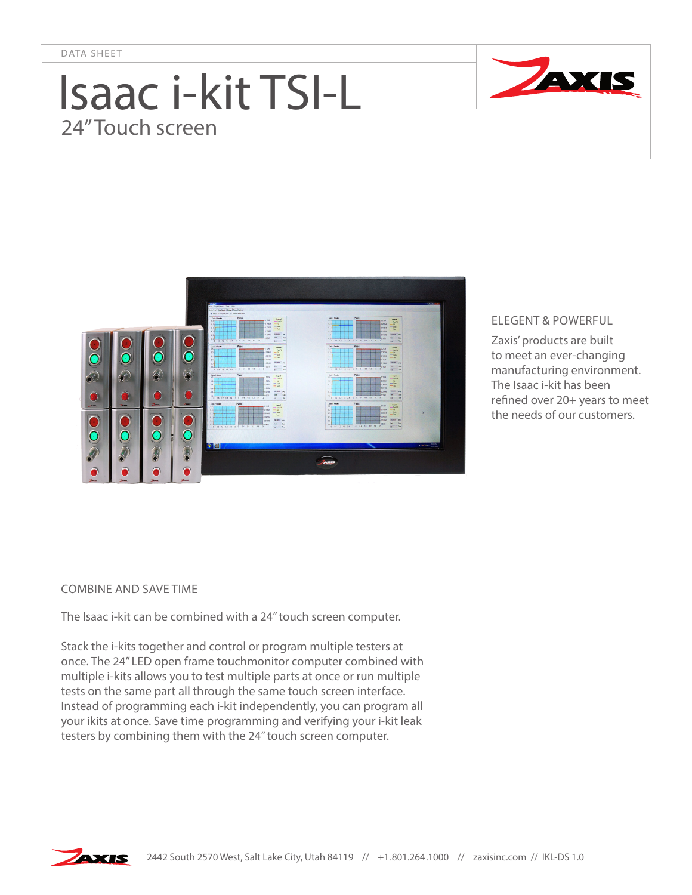DATA SHEET

## Isaac i-kit TSI-L 24" Touch screen





## ELEGENT & POWERFUL

Zaxis' products are built to meet an ever-changing manufacturing environment. The Isaac i-kit has been refined over 20+ years to meet the needs of our customers.

## COMBINE AND SAVE TIME

The Isaac i-kit can be combined with a 24" touch screen computer.

Stack the i-kits together and control or program multiple testers at once. The 24" LED open frame touchmonitor computer combined with multiple i-kits allows you to test multiple parts at once or run multiple tests on the same part all through the same touch screen interface. Instead of programming each i-kit independently, you can program all your ikits at once. Save time programming and verifying your i-kit leak testers by combining them with the 24" touch screen computer.